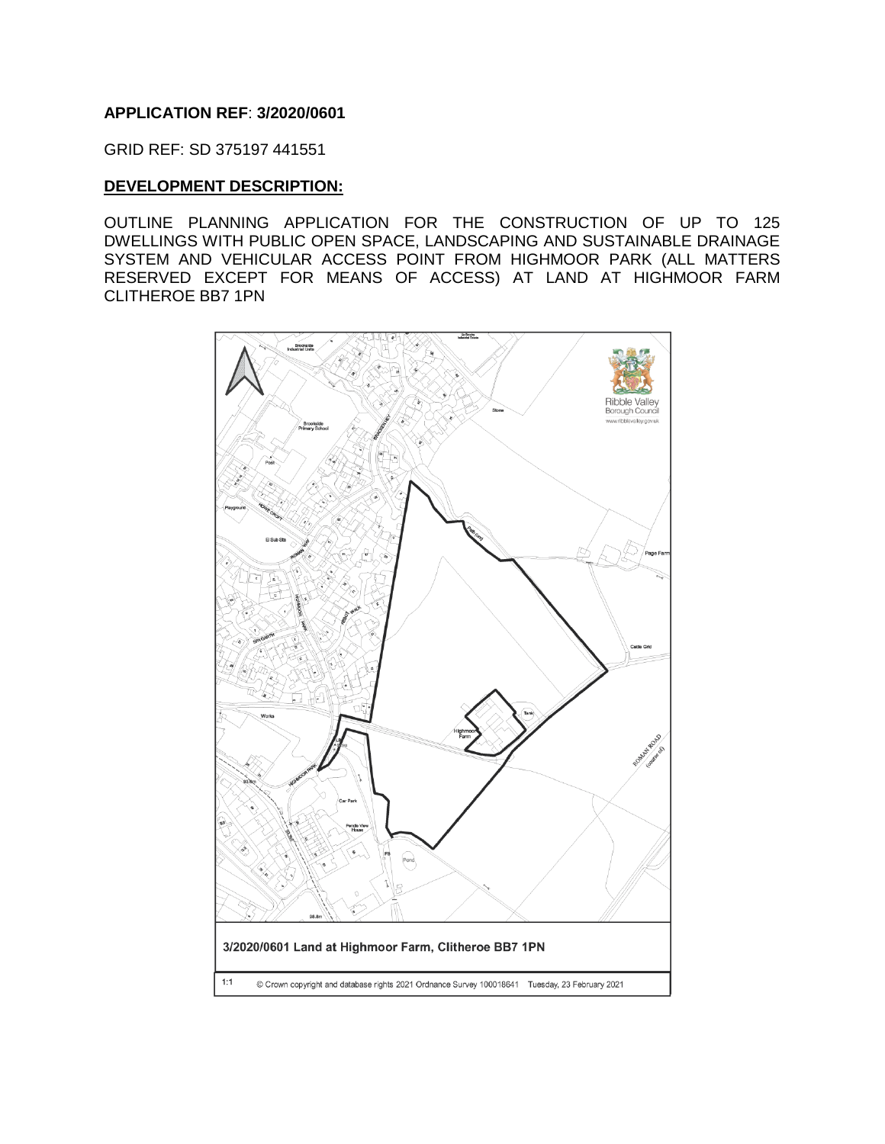### **APPLICATION REF**: **3/2020/0601**

GRID REF: SD 375197 441551

#### **DEVELOPMENT DESCRIPTION:**

OUTLINE PLANNING APPLICATION FOR THE CONSTRUCTION OF UP TO 125 DWELLINGS WITH PUBLIC OPEN SPACE, LANDSCAPING AND SUSTAINABLE DRAINAGE SYSTEM AND VEHICULAR ACCESS POINT FROM HIGHMOOR PARK (ALL MATTERS RESERVED EXCEPT FOR MEANS OF ACCESS) AT LAND AT HIGHMOOR FARM CLITHEROE BB7 1PN

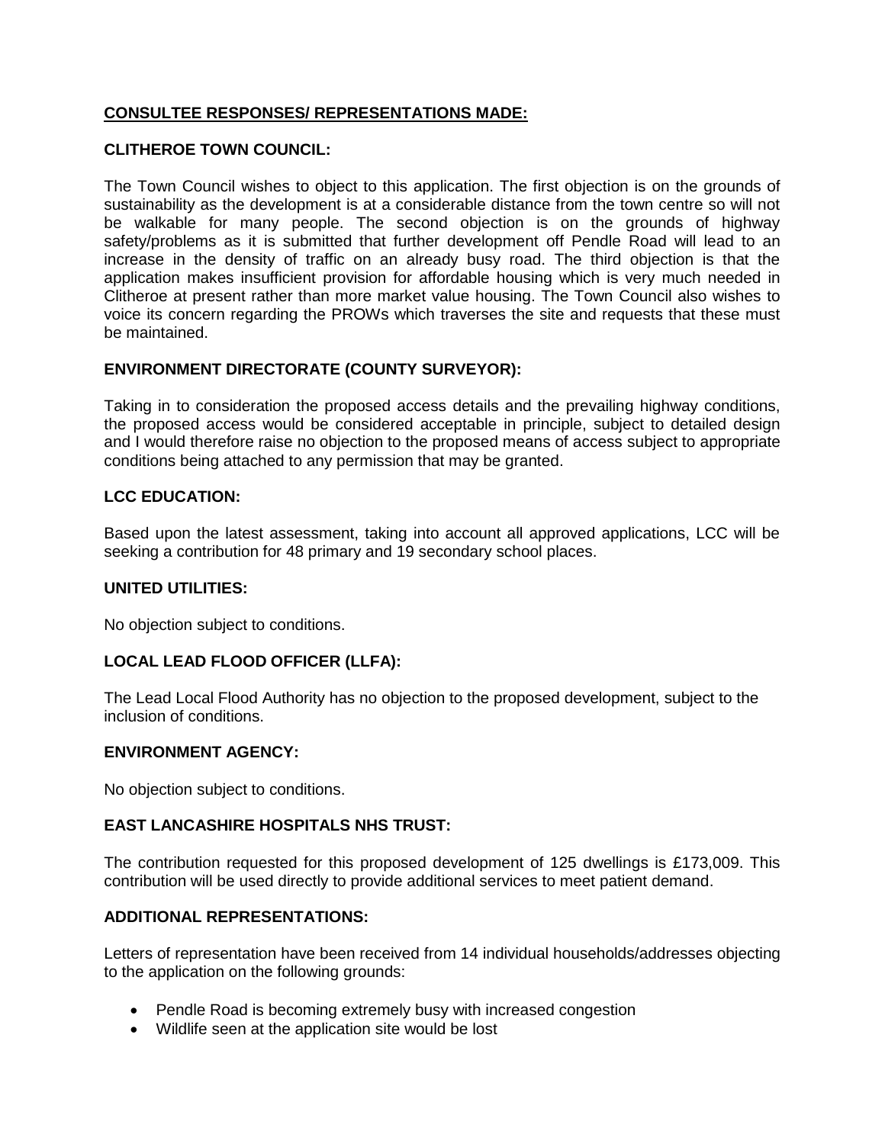# **CONSULTEE RESPONSES/ REPRESENTATIONS MADE:**

## **CLITHEROE TOWN COUNCIL:**

The Town Council wishes to object to this application. The first objection is on the grounds of sustainability as the development is at a considerable distance from the town centre so will not be walkable for many people. The second objection is on the grounds of highway safety/problems as it is submitted that further development off Pendle Road will lead to an increase in the density of traffic on an already busy road. The third objection is that the application makes insufficient provision for affordable housing which is very much needed in Clitheroe at present rather than more market value housing. The Town Council also wishes to voice its concern regarding the PROWs which traverses the site and requests that these must be maintained.

# **ENVIRONMENT DIRECTORATE (COUNTY SURVEYOR):**

Taking in to consideration the proposed access details and the prevailing highway conditions, the proposed access would be considered acceptable in principle, subject to detailed design and I would therefore raise no objection to the proposed means of access subject to appropriate conditions being attached to any permission that may be granted.

## **LCC EDUCATION:**

Based upon the latest assessment, taking into account all approved applications, LCC will be seeking a contribution for 48 primary and 19 secondary school places.

#### **UNITED UTILITIES:**

No objection subject to conditions.

## **LOCAL LEAD FLOOD OFFICER (LLFA):**

The Lead Local Flood Authority has no objection to the proposed development, subject to the inclusion of conditions.

#### **ENVIRONMENT AGENCY:**

No objection subject to conditions.

#### **EAST LANCASHIRE HOSPITALS NHS TRUST:**

The contribution requested for this proposed development of 125 dwellings is £173,009. This contribution will be used directly to provide additional services to meet patient demand.

#### **ADDITIONAL REPRESENTATIONS:**

Letters of representation have been received from 14 individual households/addresses objecting to the application on the following grounds:

- Pendle Road is becoming extremely busy with increased congestion
- Wildlife seen at the application site would be lost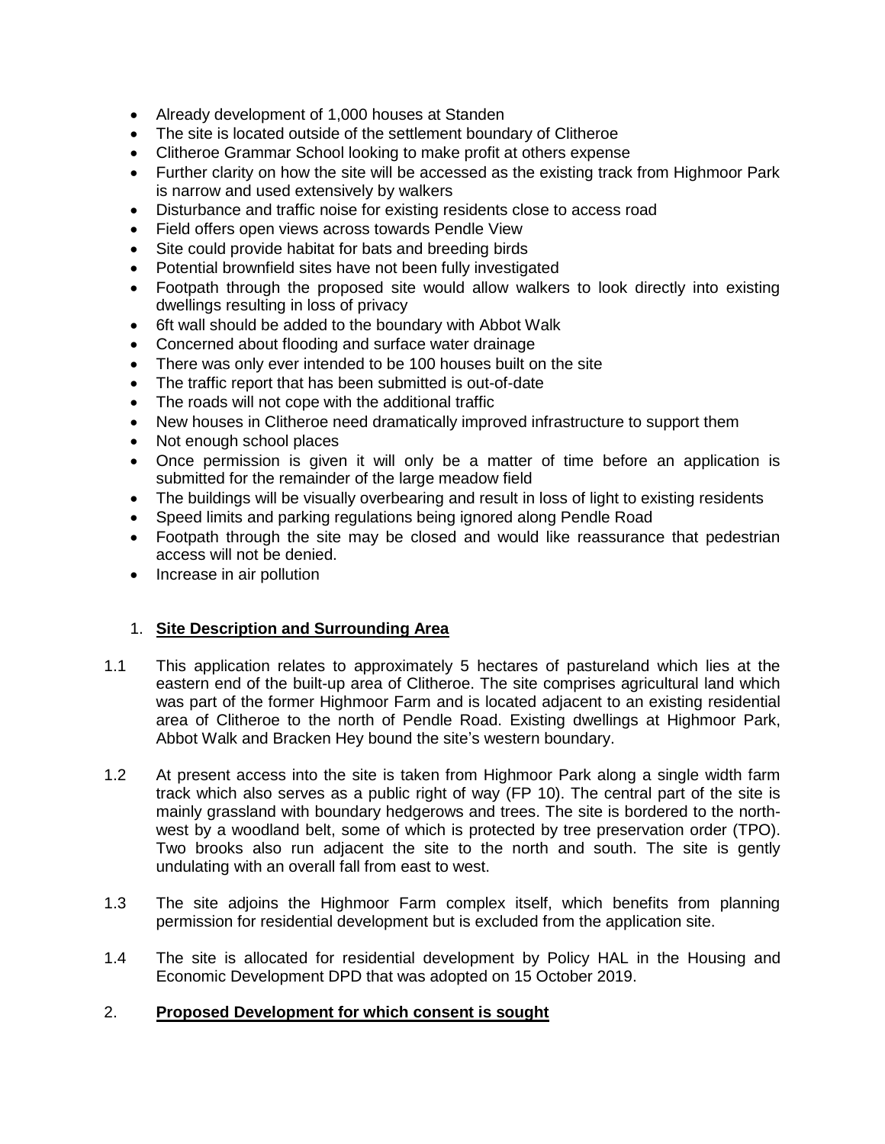- Already development of 1,000 houses at Standen
- The site is located outside of the settlement boundary of Clitheroe
- Clitheroe Grammar School looking to make profit at others expense
- Further clarity on how the site will be accessed as the existing track from Highmoor Park is narrow and used extensively by walkers
- Disturbance and traffic noise for existing residents close to access road
- Field offers open views across towards Pendle View
- Site could provide habitat for bats and breeding birds
- Potential brownfield sites have not been fully investigated
- Footpath through the proposed site would allow walkers to look directly into existing dwellings resulting in loss of privacy
- 6ft wall should be added to the boundary with Abbot Walk
- Concerned about flooding and surface water drainage
- There was only ever intended to be 100 houses built on the site
- The traffic report that has been submitted is out-of-date
- The roads will not cope with the additional traffic
- New houses in Clitheroe need dramatically improved infrastructure to support them
- Not enough school places
- Once permission is given it will only be a matter of time before an application is submitted for the remainder of the large meadow field
- The buildings will be visually overbearing and result in loss of light to existing residents
- Speed limits and parking regulations being ignored along Pendle Road
- Footpath through the site may be closed and would like reassurance that pedestrian access will not be denied.
- Increase in air pollution

## 1. **Site Description and Surrounding Area**

- 1.1 This application relates to approximately 5 hectares of pastureland which lies at the eastern end of the built-up area of Clitheroe. The site comprises agricultural land which was part of the former Highmoor Farm and is located adjacent to an existing residential area of Clitheroe to the north of Pendle Road. Existing dwellings at Highmoor Park, Abbot Walk and Bracken Hey bound the site's western boundary.
- 1.2 At present access into the site is taken from Highmoor Park along a single width farm track which also serves as a public right of way (FP 10). The central part of the site is mainly grassland with boundary hedgerows and trees. The site is bordered to the northwest by a woodland belt, some of which is protected by tree preservation order (TPO). Two brooks also run adjacent the site to the north and south. The site is gently undulating with an overall fall from east to west.
- 1.3 The site adjoins the Highmoor Farm complex itself, which benefits from planning permission for residential development but is excluded from the application site.
- 1.4 The site is allocated for residential development by Policy HAL in the Housing and Economic Development DPD that was adopted on 15 October 2019.

## 2. **Proposed Development for which consent is sought**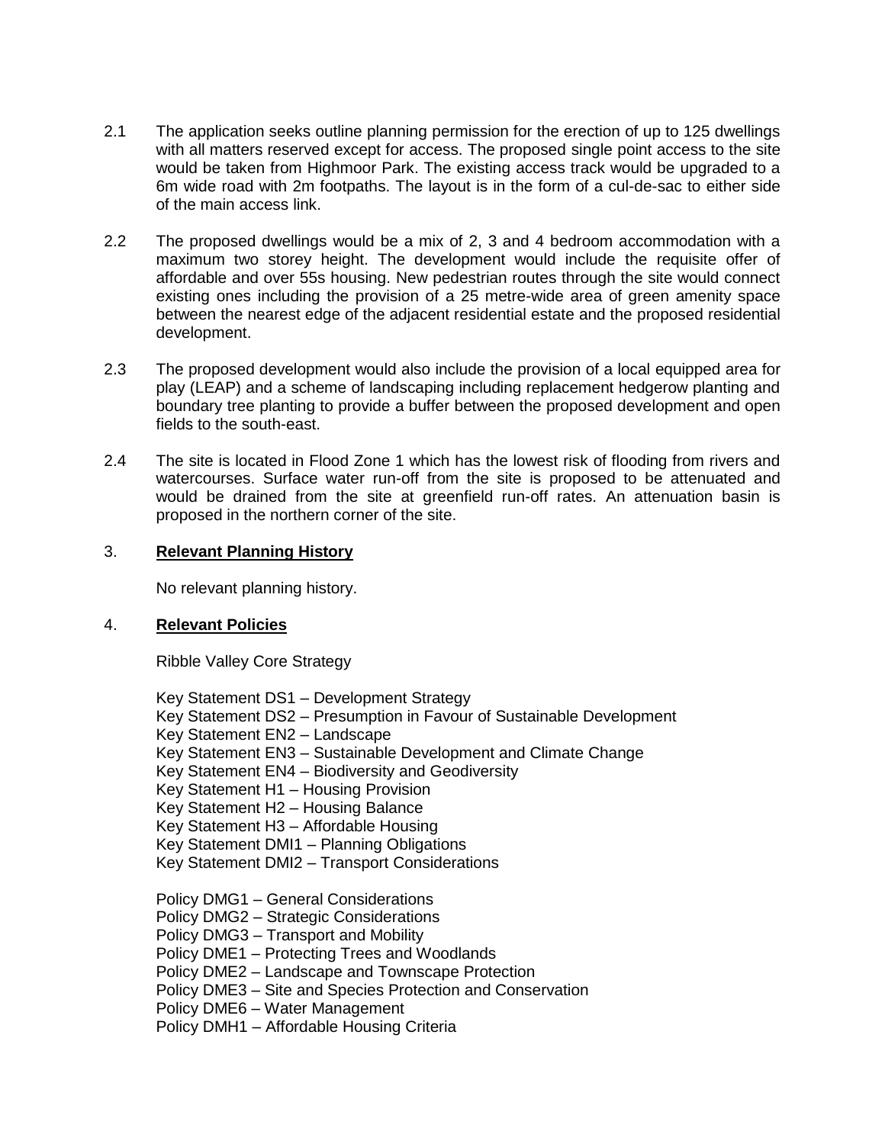- 2.1 The application seeks outline planning permission for the erection of up to 125 dwellings with all matters reserved except for access. The proposed single point access to the site would be taken from Highmoor Park. The existing access track would be upgraded to a 6m wide road with 2m footpaths. The layout is in the form of a cul-de-sac to either side of the main access link.
- 2.2 The proposed dwellings would be a mix of 2, 3 and 4 bedroom accommodation with a maximum two storey height. The development would include the requisite offer of affordable and over 55s housing. New pedestrian routes through the site would connect existing ones including the provision of a 25 metre-wide area of green amenity space between the nearest edge of the adjacent residential estate and the proposed residential development.
- 2.3 The proposed development would also include the provision of a local equipped area for play (LEAP) and a scheme of landscaping including replacement hedgerow planting and boundary tree planting to provide a buffer between the proposed development and open fields to the south-east.
- 2.4 The site is located in Flood Zone 1 which has the lowest risk of flooding from rivers and watercourses. Surface water run-off from the site is proposed to be attenuated and would be drained from the site at greenfield run-off rates. An attenuation basin is proposed in the northern corner of the site.

## 3. **Relevant Planning History**

No relevant planning history.

## 4. **Relevant Policies**

Ribble Valley Core Strategy

Key Statement DS1 – Development Strategy Key Statement DS2 – Presumption in Favour of Sustainable Development Key Statement EN2 – Landscape Key Statement EN3 – Sustainable Development and Climate Change Key Statement EN4 – Biodiversity and Geodiversity Key Statement H1 – Housing Provision Key Statement H2 – Housing Balance Key Statement H3 – Affordable Housing Key Statement DMI1 – Planning Obligations Key Statement DMI2 – Transport Considerations Policy DMG1 – General Considerations Policy DMG2 – Strategic Considerations Policy DMG3 – Transport and Mobility Policy DME1 – Protecting Trees and Woodlands Policy DME2 – Landscape and Townscape Protection Policy DME3 – Site and Species Protection and Conservation Policy DME6 – Water Management Policy DMH1 – Affordable Housing Criteria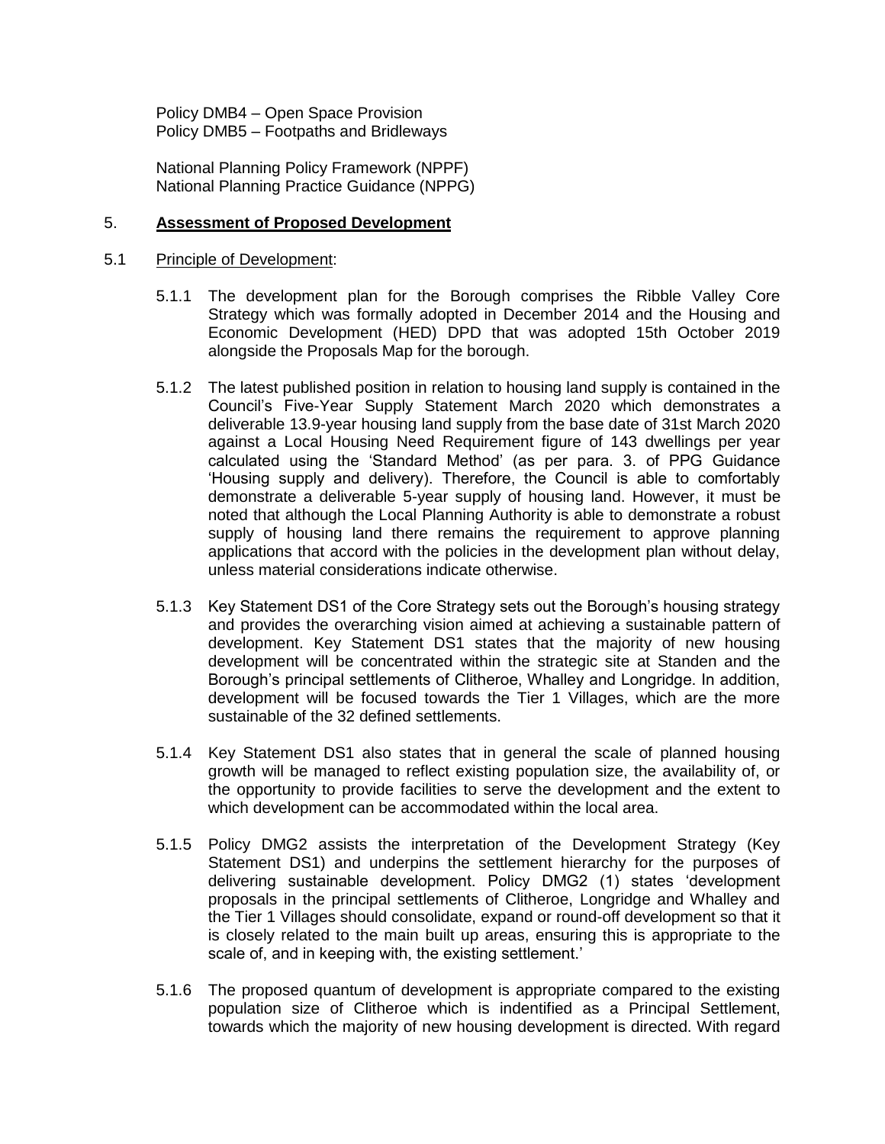Policy DMB4 – Open Space Provision Policy DMB5 – Footpaths and Bridleways

National Planning Policy Framework (NPPF) National Planning Practice Guidance (NPPG)

#### 5. **Assessment of Proposed Development**

#### 5.1 Principle of Development:

- 5.1.1 The development plan for the Borough comprises the Ribble Valley Core Strategy which was formally adopted in December 2014 and the Housing and Economic Development (HED) DPD that was adopted 15th October 2019 alongside the Proposals Map for the borough.
- 5.1.2 The latest published position in relation to housing land supply is contained in the Council's Five-Year Supply Statement March 2020 which demonstrates a deliverable 13.9-year housing land supply from the base date of 31st March 2020 against a Local Housing Need Requirement figure of 143 dwellings per year calculated using the 'Standard Method' (as per para. 3. of PPG Guidance 'Housing supply and delivery). Therefore, the Council is able to comfortably demonstrate a deliverable 5-year supply of housing land. However, it must be noted that although the Local Planning Authority is able to demonstrate a robust supply of housing land there remains the requirement to approve planning applications that accord with the policies in the development plan without delay, unless material considerations indicate otherwise.
- 5.1.3 Key Statement DS1 of the Core Strategy sets out the Borough's housing strategy and provides the overarching vision aimed at achieving a sustainable pattern of development. Key Statement DS1 states that the majority of new housing development will be concentrated within the strategic site at Standen and the Borough's principal settlements of Clitheroe, Whalley and Longridge. In addition, development will be focused towards the Tier 1 Villages, which are the more sustainable of the 32 defined settlements.
- 5.1.4 Key Statement DS1 also states that in general the scale of planned housing growth will be managed to reflect existing population size, the availability of, or the opportunity to provide facilities to serve the development and the extent to which development can be accommodated within the local area.
- 5.1.5 Policy DMG2 assists the interpretation of the Development Strategy (Key Statement DS1) and underpins the settlement hierarchy for the purposes of delivering sustainable development. Policy DMG2 (1) states 'development proposals in the principal settlements of Clitheroe, Longridge and Whalley and the Tier 1 Villages should consolidate, expand or round-off development so that it is closely related to the main built up areas, ensuring this is appropriate to the scale of, and in keeping with, the existing settlement.'
- 5.1.6 The proposed quantum of development is appropriate compared to the existing population size of Clitheroe which is indentified as a Principal Settlement, towards which the majority of new housing development is directed. With regard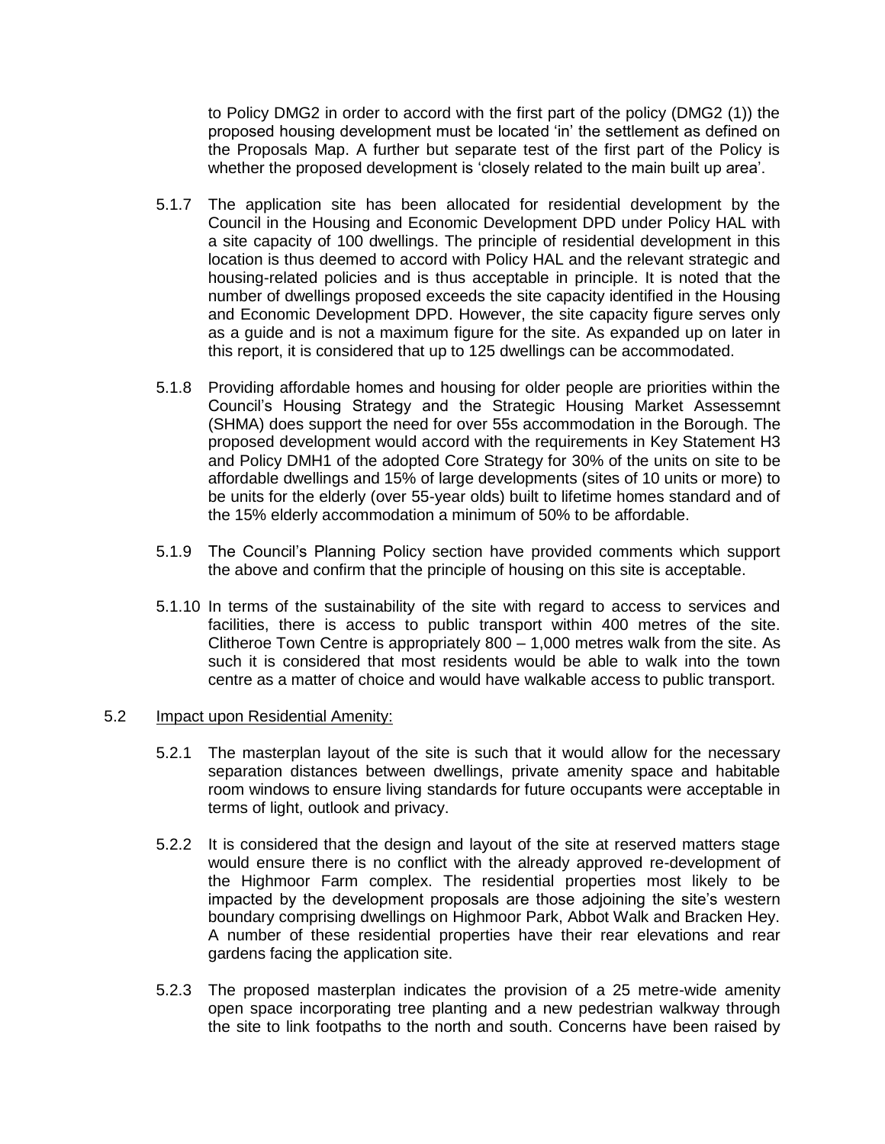to Policy DMG2 in order to accord with the first part of the policy (DMG2 (1)) the proposed housing development must be located 'in' the settlement as defined on the Proposals Map. A further but separate test of the first part of the Policy is whether the proposed development is 'closely related to the main built up area'.

- 5.1.7 The application site has been allocated for residential development by the Council in the Housing and Economic Development DPD under Policy HAL with a site capacity of 100 dwellings. The principle of residential development in this location is thus deemed to accord with Policy HAL and the relevant strategic and housing-related policies and is thus acceptable in principle. It is noted that the number of dwellings proposed exceeds the site capacity identified in the Housing and Economic Development DPD. However, the site capacity figure serves only as a guide and is not a maximum figure for the site. As expanded up on later in this report, it is considered that up to 125 dwellings can be accommodated.
- 5.1.8 Providing affordable homes and housing for older people are priorities within the Council's Housing Strategy and the Strategic Housing Market Assessemnt (SHMA) does support the need for over 55s accommodation in the Borough. The proposed development would accord with the requirements in Key Statement H3 and Policy DMH1 of the adopted Core Strategy for 30% of the units on site to be affordable dwellings and 15% of large developments (sites of 10 units or more) to be units for the elderly (over 55-year olds) built to lifetime homes standard and of the 15% elderly accommodation a minimum of 50% to be affordable.
- 5.1.9 The Council's Planning Policy section have provided comments which support the above and confirm that the principle of housing on this site is acceptable.
- 5.1.10 In terms of the sustainability of the site with regard to access to services and facilities, there is access to public transport within 400 metres of the site. Clitheroe Town Centre is appropriately 800 – 1,000 metres walk from the site. As such it is considered that most residents would be able to walk into the town centre as a matter of choice and would have walkable access to public transport.

#### 5.2 Impact upon Residential Amenity:

- 5.2.1 The masterplan layout of the site is such that it would allow for the necessary separation distances between dwellings, private amenity space and habitable room windows to ensure living standards for future occupants were acceptable in terms of light, outlook and privacy.
- 5.2.2 It is considered that the design and layout of the site at reserved matters stage would ensure there is no conflict with the already approved re-development of the Highmoor Farm complex. The residential properties most likely to be impacted by the development proposals are those adjoining the site's western boundary comprising dwellings on Highmoor Park, Abbot Walk and Bracken Hey. A number of these residential properties have their rear elevations and rear gardens facing the application site.
- 5.2.3 The proposed masterplan indicates the provision of a 25 metre-wide amenity open space incorporating tree planting and a new pedestrian walkway through the site to link footpaths to the north and south. Concerns have been raised by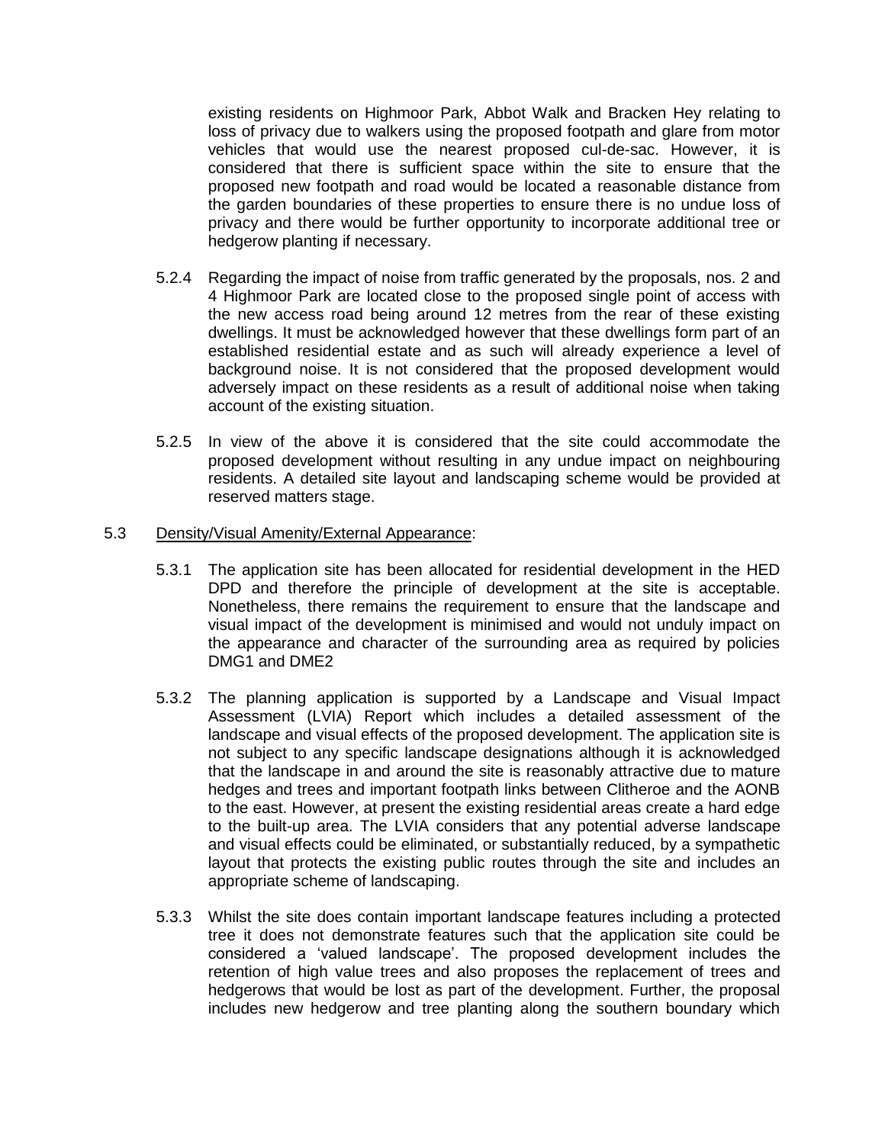existing residents on Highmoor Park, Abbot Walk and Bracken Hey relating to loss of privacy due to walkers using the proposed footpath and glare from motor vehicles that would use the nearest proposed cul-de-sac. However, it is considered that there is sufficient space within the site to ensure that the proposed new footpath and road would be located a reasonable distance from the garden boundaries of these properties to ensure there is no undue loss of privacy and there would be further opportunity to incorporate additional tree or hedgerow planting if necessary.

- 5.2.4 Regarding the impact of noise from traffic generated by the proposals, nos. 2 and 4 Highmoor Park are located close to the proposed single point of access with the new access road being around 12 metres from the rear of these existing dwellings. It must be acknowledged however that these dwellings form part of an established residential estate and as such will already experience a level of background noise. It is not considered that the proposed development would adversely impact on these residents as a result of additional noise when taking account of the existing situation.
- 5.2.5 In view of the above it is considered that the site could accommodate the proposed development without resulting in any undue impact on neighbouring residents. A detailed site layout and landscaping scheme would be provided at reserved matters stage.

#### 5.3 Density/Visual Amenity/External Appearance:

- 5.3.1 The application site has been allocated for residential development in the HED DPD and therefore the principle of development at the site is acceptable. Nonetheless, there remains the requirement to ensure that the landscape and visual impact of the development is minimised and would not unduly impact on the appearance and character of the surrounding area as required by policies DMG1 and DME2
- 5.3.2 The planning application is supported by a Landscape and Visual Impact Assessment (LVIA) Report which includes a detailed assessment of the landscape and visual effects of the proposed development. The application site is not subject to any specific landscape designations although it is acknowledged that the landscape in and around the site is reasonably attractive due to mature hedges and trees and important footpath links between Clitheroe and the AONB to the east. However, at present the existing residential areas create a hard edge to the built-up area. The LVIA considers that any potential adverse landscape and visual effects could be eliminated, or substantially reduced, by a sympathetic layout that protects the existing public routes through the site and includes an appropriate scheme of landscaping.
- 5.3.3 Whilst the site does contain important landscape features including a protected tree it does not demonstrate features such that the application site could be considered a 'valued landscape'. The proposed development includes the retention of high value trees and also proposes the replacement of trees and hedgerows that would be lost as part of the development. Further, the proposal includes new hedgerow and tree planting along the southern boundary which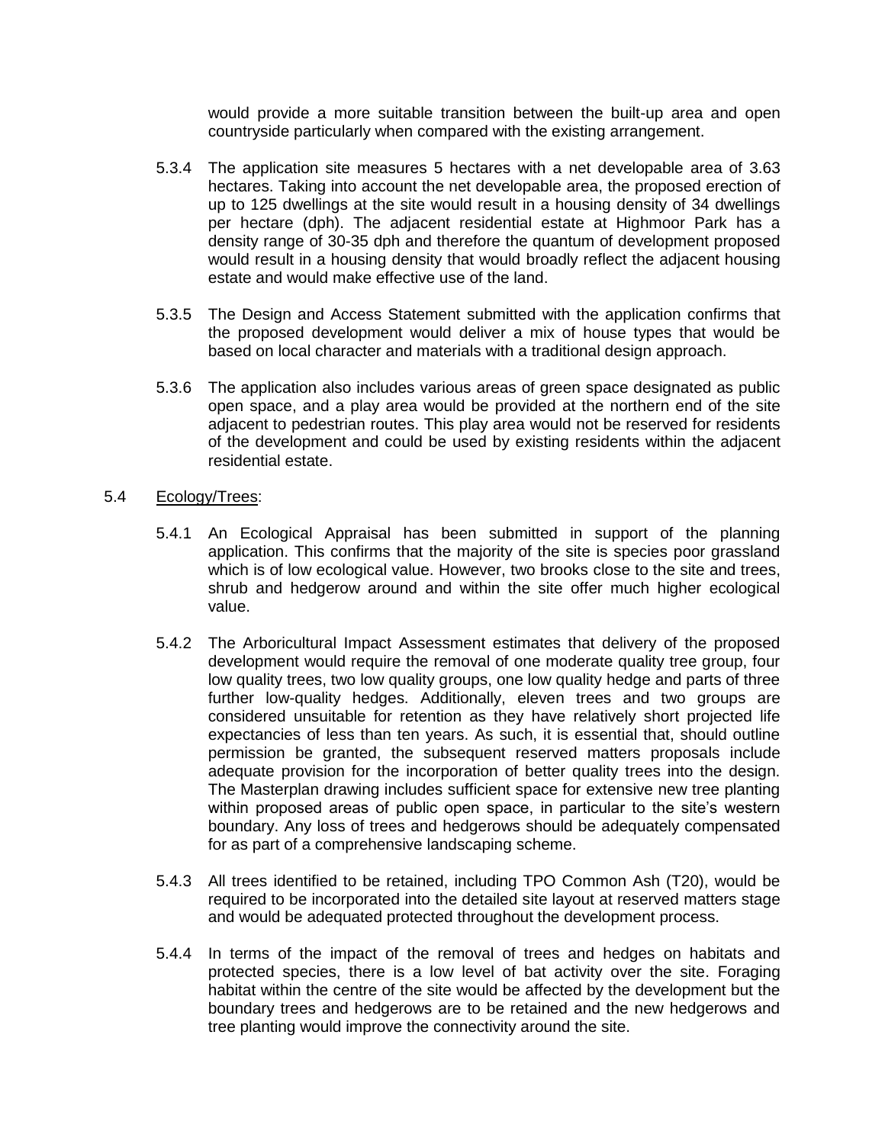would provide a more suitable transition between the built-up area and open countryside particularly when compared with the existing arrangement.

- 5.3.4 The application site measures 5 hectares with a net developable area of 3.63 hectares. Taking into account the net developable area, the proposed erection of up to 125 dwellings at the site would result in a housing density of 34 dwellings per hectare (dph). The adjacent residential estate at Highmoor Park has a density range of 30-35 dph and therefore the quantum of development proposed would result in a housing density that would broadly reflect the adjacent housing estate and would make effective use of the land.
- 5.3.5 The Design and Access Statement submitted with the application confirms that the proposed development would deliver a mix of house types that would be based on local character and materials with a traditional design approach.
- 5.3.6 The application also includes various areas of green space designated as public open space, and a play area would be provided at the northern end of the site adjacent to pedestrian routes. This play area would not be reserved for residents of the development and could be used by existing residents within the adjacent residential estate.

### 5.4 Ecology/Trees:

- 5.4.1 An Ecological Appraisal has been submitted in support of the planning application. This confirms that the majority of the site is species poor grassland which is of low ecological value. However, two brooks close to the site and trees, shrub and hedgerow around and within the site offer much higher ecological value.
- 5.4.2 The Arboricultural Impact Assessment estimates that delivery of the proposed development would require the removal of one moderate quality tree group, four low quality trees, two low quality groups, one low quality hedge and parts of three further low-quality hedges. Additionally, eleven trees and two groups are considered unsuitable for retention as they have relatively short projected life expectancies of less than ten years. As such, it is essential that, should outline permission be granted, the subsequent reserved matters proposals include adequate provision for the incorporation of better quality trees into the design. The Masterplan drawing includes sufficient space for extensive new tree planting within proposed areas of public open space, in particular to the site's western boundary. Any loss of trees and hedgerows should be adequately compensated for as part of a comprehensive landscaping scheme.
- 5.4.3 All trees identified to be retained, including TPO Common Ash (T20), would be required to be incorporated into the detailed site layout at reserved matters stage and would be adequated protected throughout the development process.
- 5.4.4 In terms of the impact of the removal of trees and hedges on habitats and protected species, there is a low level of bat activity over the site. Foraging habitat within the centre of the site would be affected by the development but the boundary trees and hedgerows are to be retained and the new hedgerows and tree planting would improve the connectivity around the site.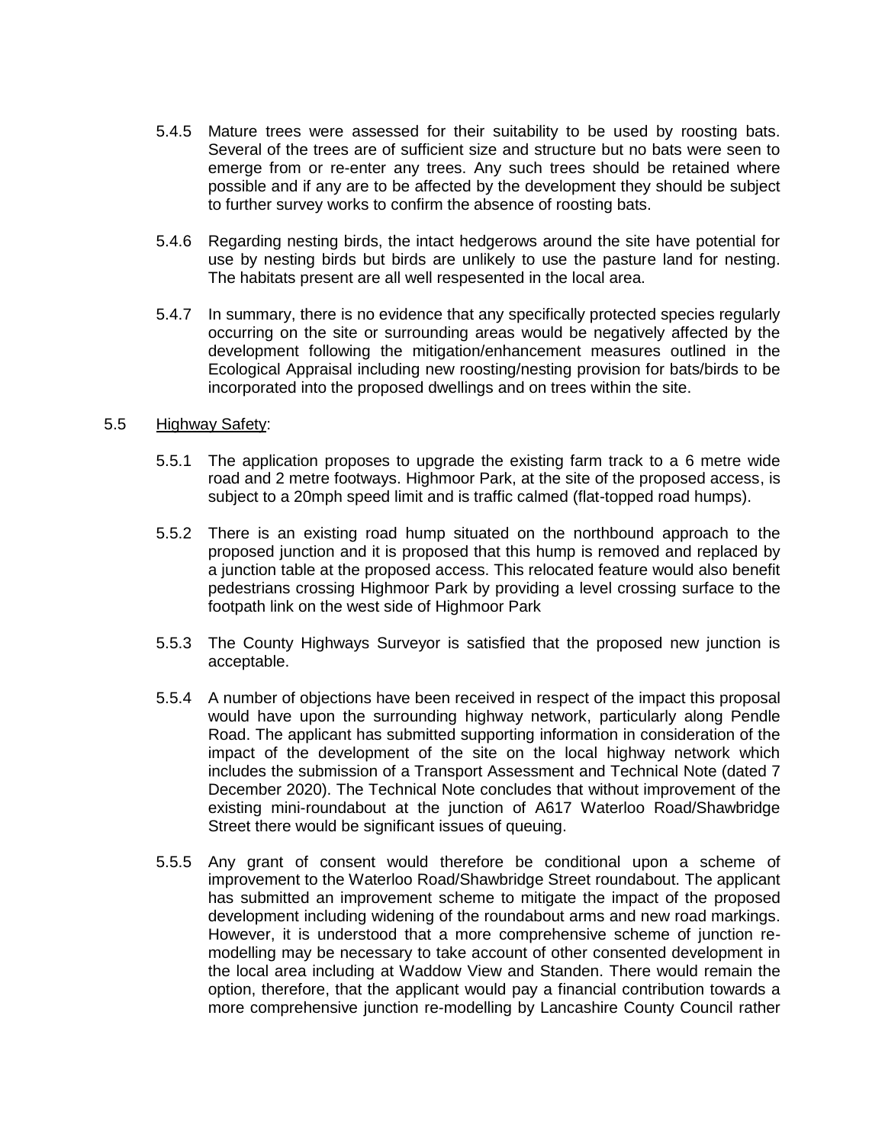- 5.4.5 Mature trees were assessed for their suitability to be used by roosting bats. Several of the trees are of sufficient size and structure but no bats were seen to emerge from or re-enter any trees. Any such trees should be retained where possible and if any are to be affected by the development they should be subject to further survey works to confirm the absence of roosting bats.
- 5.4.6 Regarding nesting birds, the intact hedgerows around the site have potential for use by nesting birds but birds are unlikely to use the pasture land for nesting. The habitats present are all well respesented in the local area.
- 5.4.7 In summary, there is no evidence that any specifically protected species regularly occurring on the site or surrounding areas would be negatively affected by the development following the mitigation/enhancement measures outlined in the Ecological Appraisal including new roosting/nesting provision for bats/birds to be incorporated into the proposed dwellings and on trees within the site.

#### 5.5 Highway Safety:

- 5.5.1 The application proposes to upgrade the existing farm track to a 6 metre wide road and 2 metre footways. Highmoor Park, at the site of the proposed access, is subject to a 20mph speed limit and is traffic calmed (flat-topped road humps).
- 5.5.2 There is an existing road hump situated on the northbound approach to the proposed junction and it is proposed that this hump is removed and replaced by a junction table at the proposed access. This relocated feature would also benefit pedestrians crossing Highmoor Park by providing a level crossing surface to the footpath link on the west side of Highmoor Park
- 5.5.3 The County Highways Surveyor is satisfied that the proposed new junction is acceptable.
- 5.5.4 A number of objections have been received in respect of the impact this proposal would have upon the surrounding highway network, particularly along Pendle Road. The applicant has submitted supporting information in consideration of the impact of the development of the site on the local highway network which includes the submission of a Transport Assessment and Technical Note (dated 7 December 2020). The Technical Note concludes that without improvement of the existing mini-roundabout at the junction of A617 Waterloo Road/Shawbridge Street there would be significant issues of queuing.
- 5.5.5 Any grant of consent would therefore be conditional upon a scheme of improvement to the Waterloo Road/Shawbridge Street roundabout. The applicant has submitted an improvement scheme to mitigate the impact of the proposed development including widening of the roundabout arms and new road markings. However, it is understood that a more comprehensive scheme of junction remodelling may be necessary to take account of other consented development in the local area including at Waddow View and Standen. There would remain the option, therefore, that the applicant would pay a financial contribution towards a more comprehensive junction re-modelling by Lancashire County Council rather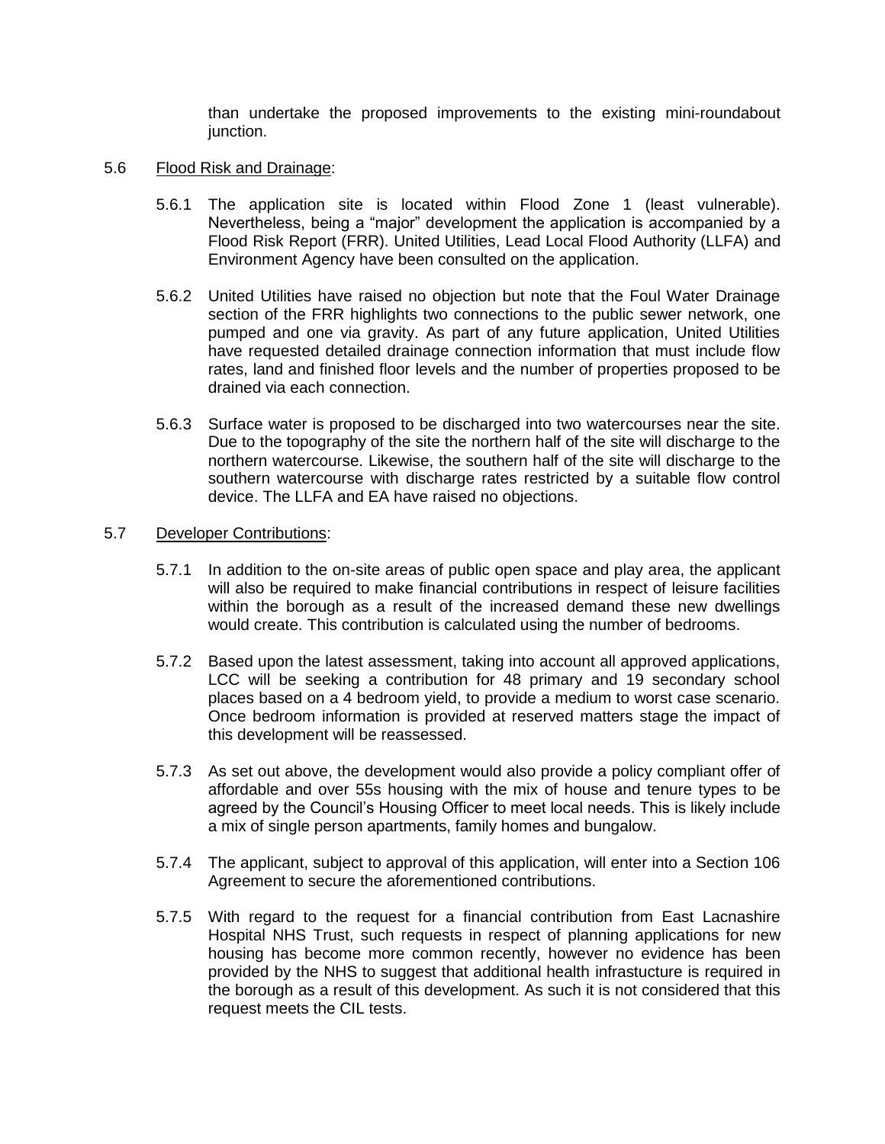than undertake the proposed improvements to the existing mini-roundabout junction.

- 5.6 Flood Risk and Drainage:
	- 5.6.1 The application site is located within Flood Zone 1 (least vulnerable). Nevertheless, being a "major" development the application is accompanied by a Flood Risk Report (FRR). United Utilities, Lead Local Flood Authority (LLFA) and Environment Agency have been consulted on the application.
	- 5.6.2 United Utilities have raised no objection but note that the Foul Water Drainage section of the FRR highlights two connections to the public sewer network, one pumped and one via gravity. As part of any future application, United Utilities have requested detailed drainage connection information that must include flow rates, land and finished floor levels and the number of properties proposed to be drained via each connection.
	- 5.6.3 Surface water is proposed to be discharged into two watercourses near the site. Due to the topography of the site the northern half of the site will discharge to the northern watercourse. Likewise, the southern half of the site will discharge to the southern watercourse with discharge rates restricted by a suitable flow control device. The LLFA and EA have raised no objections.

#### 5.7 Developer Contributions:

- 5.7.1 In addition to the on-site areas of public open space and play area, the applicant will also be required to make financial contributions in respect of leisure facilities within the borough as a result of the increased demand these new dwellings would create. This contribution is calculated using the number of bedrooms.
- 5.7.2 Based upon the latest assessment, taking into account all approved applications, LCC will be seeking a contribution for 48 primary and 19 secondary school places based on a 4 bedroom yield, to provide a medium to worst case scenario. Once bedroom information is provided at reserved matters stage the impact of this development will be reassessed.
- 5.7.3 As set out above, the development would also provide a policy compliant offer of affordable and over 55s housing with the mix of house and tenure types to be agreed by the Council's Housing Officer to meet local needs. This is likely include a mix of single person apartments, family homes and bungalow.
- 5.7.4 The applicant, subject to approval of this application, will enter into a Section 106 Agreement to secure the aforementioned contributions.
- 5.7.5 With regard to the request for a financial contribution from East Lacnashire Hospital NHS Trust, such requests in respect of planning applications for new housing has become more common recently, however no evidence has been provided by the NHS to suggest that additional health infrastucture is required in the borough as a result of this development. As such it is not considered that this request meets the CIL tests.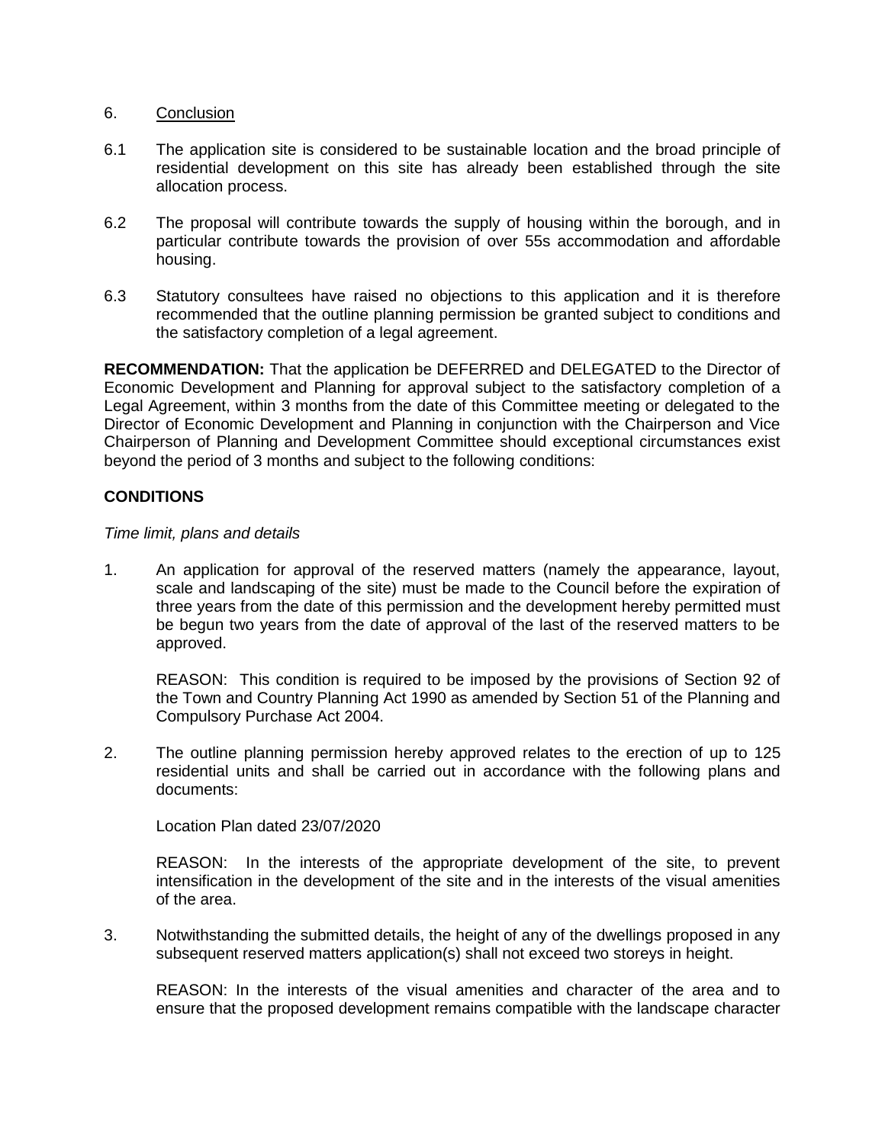### 6. Conclusion

- 6.1 The application site is considered to be sustainable location and the broad principle of residential development on this site has already been established through the site allocation process.
- 6.2 The proposal will contribute towards the supply of housing within the borough, and in particular contribute towards the provision of over 55s accommodation and affordable housing.
- 6.3 Statutory consultees have raised no objections to this application and it is therefore recommended that the outline planning permission be granted subject to conditions and the satisfactory completion of a legal agreement.

**RECOMMENDATION:** That the application be DEFERRED and DELEGATED to the Director of Economic Development and Planning for approval subject to the satisfactory completion of a Legal Agreement, within 3 months from the date of this Committee meeting or delegated to the Director of Economic Development and Planning in conjunction with the Chairperson and Vice Chairperson of Planning and Development Committee should exceptional circumstances exist beyond the period of 3 months and subject to the following conditions:

## **CONDITIONS**

#### *Time limit, plans and details*

1. An application for approval of the reserved matters (namely the appearance, layout, scale and landscaping of the site) must be made to the Council before the expiration of three years from the date of this permission and the development hereby permitted must be begun two years from the date of approval of the last of the reserved matters to be approved.

REASON: This condition is required to be imposed by the provisions of Section 92 of the Town and Country Planning Act 1990 as amended by Section 51 of the Planning and Compulsory Purchase Act 2004.

2. The outline planning permission hereby approved relates to the erection of up to 125 residential units and shall be carried out in accordance with the following plans and documents:

Location Plan dated 23/07/2020

REASON: In the interests of the appropriate development of the site, to prevent intensification in the development of the site and in the interests of the visual amenities of the area.

3. Notwithstanding the submitted details, the height of any of the dwellings proposed in any subsequent reserved matters application(s) shall not exceed two storeys in height.

REASON: In the interests of the visual amenities and character of the area and to ensure that the proposed development remains compatible with the landscape character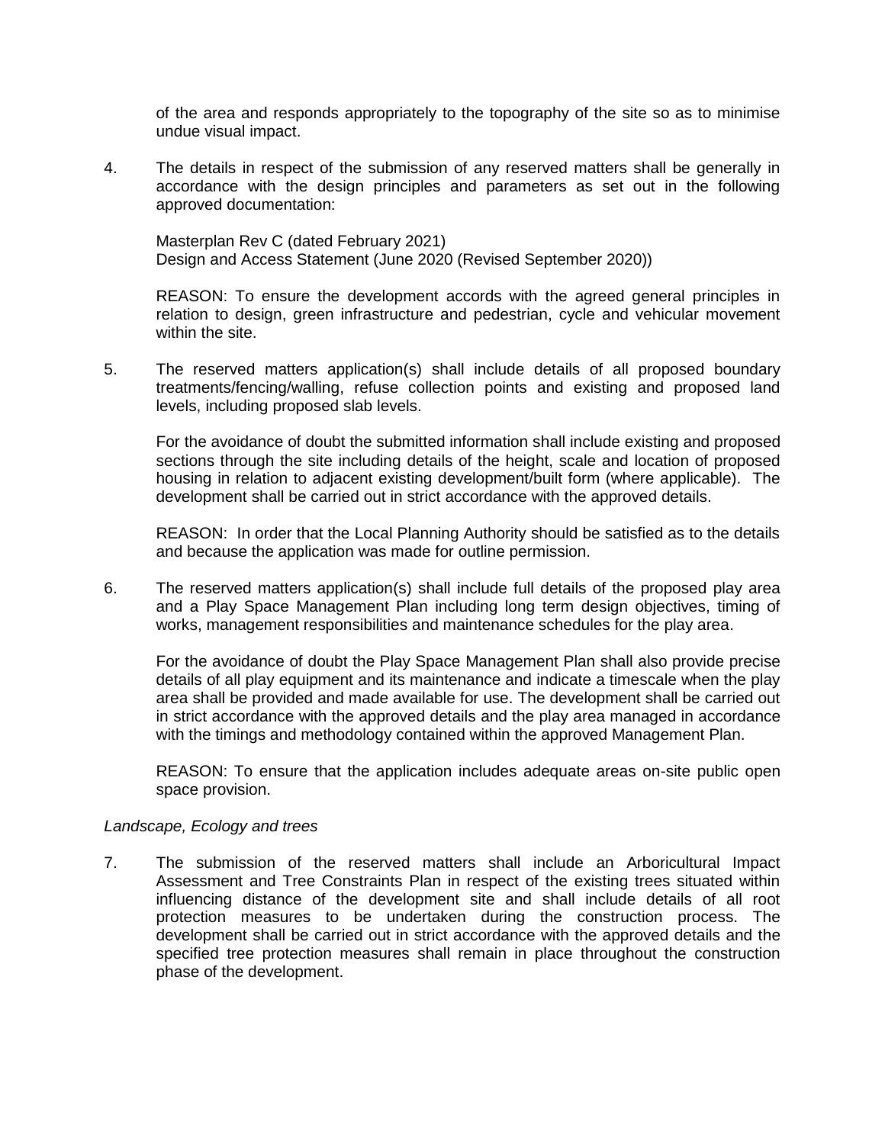of the area and responds appropriately to the topography of the site so as to minimise undue visual impact.

4. The details in respect of the submission of any reserved matters shall be generally in accordance with the design principles and parameters as set out in the following approved documentation:

Masterplan Rev C (dated February 2021) Design and Access Statement (June 2020 (Revised September 2020))

REASON: To ensure the development accords with the agreed general principles in relation to design, green infrastructure and pedestrian, cycle and vehicular movement within the site.

5. The reserved matters application(s) shall include details of all proposed boundary treatments/fencing/walling, refuse collection points and existing and proposed land levels, including proposed slab levels.

For the avoidance of doubt the submitted information shall include existing and proposed sections through the site including details of the height, scale and location of proposed housing in relation to adjacent existing development/built form (where applicable). The development shall be carried out in strict accordance with the approved details.

REASON: In order that the Local Planning Authority should be satisfied as to the details and because the application was made for outline permission.

6. The reserved matters application(s) shall include full details of the proposed play area and a Play Space Management Plan including long term design objectives, timing of works, management responsibilities and maintenance schedules for the play area.

For the avoidance of doubt the Play Space Management Plan shall also provide precise details of all play equipment and its maintenance and indicate a timescale when the play area shall be provided and made available for use. The development shall be carried out in strict accordance with the approved details and the play area managed in accordance with the timings and methodology contained within the approved Management Plan.

REASON: To ensure that the application includes adequate areas on-site public open space provision.

#### *Landscape, Ecology and trees*

7. The submission of the reserved matters shall include an Arboricultural Impact Assessment and Tree Constraints Plan in respect of the existing trees situated within influencing distance of the development site and shall include details of all root protection measures to be undertaken during the construction process. The development shall be carried out in strict accordance with the approved details and the specified tree protection measures shall remain in place throughout the construction phase of the development.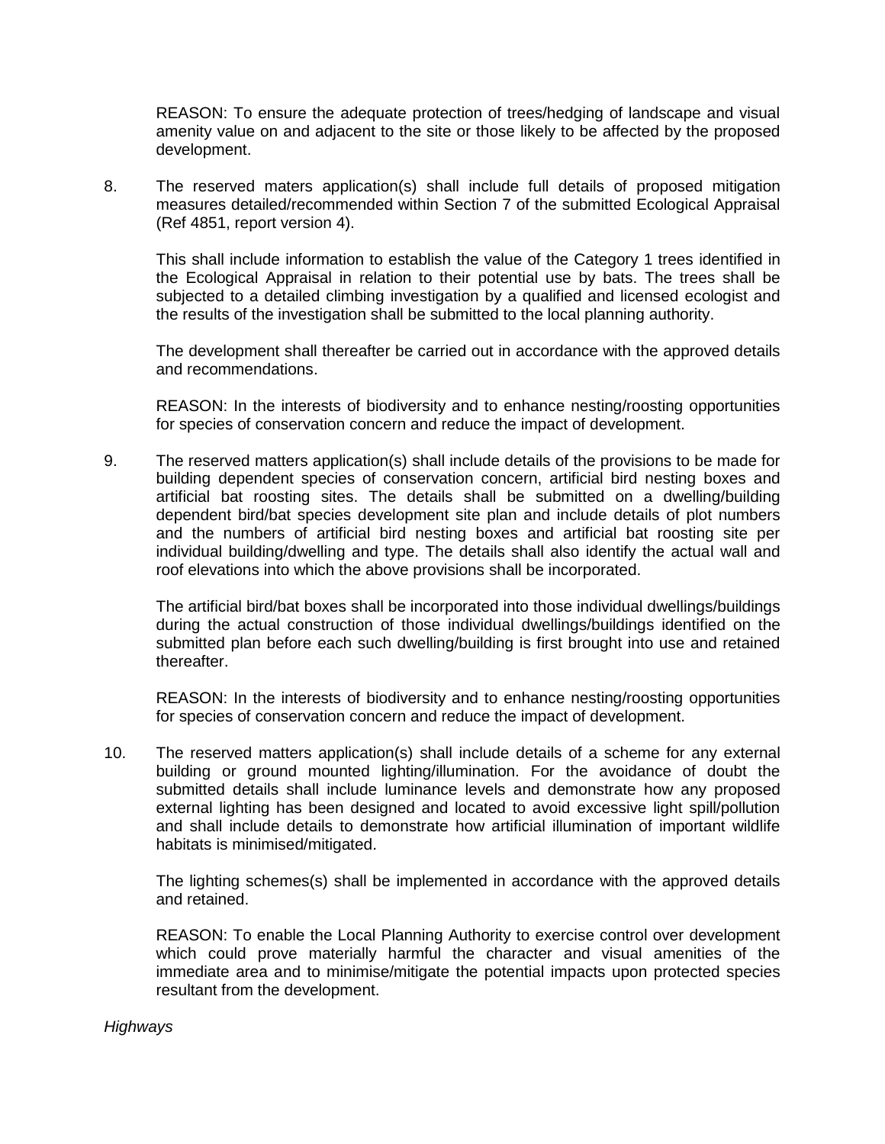REASON: To ensure the adequate protection of trees/hedging of landscape and visual amenity value on and adjacent to the site or those likely to be affected by the proposed development.

8. The reserved maters application(s) shall include full details of proposed mitigation measures detailed/recommended within Section 7 of the submitted Ecological Appraisal (Ref 4851, report version 4).

This shall include information to establish the value of the Category 1 trees identified in the Ecological Appraisal in relation to their potential use by bats. The trees shall be subjected to a detailed climbing investigation by a qualified and licensed ecologist and the results of the investigation shall be submitted to the local planning authority.

The development shall thereafter be carried out in accordance with the approved details and recommendations.

REASON: In the interests of biodiversity and to enhance nesting/roosting opportunities for species of conservation concern and reduce the impact of development.

9. The reserved matters application(s) shall include details of the provisions to be made for building dependent species of conservation concern, artificial bird nesting boxes and artificial bat roosting sites. The details shall be submitted on a dwelling/building dependent bird/bat species development site plan and include details of plot numbers and the numbers of artificial bird nesting boxes and artificial bat roosting site per individual building/dwelling and type. The details shall also identify the actual wall and roof elevations into which the above provisions shall be incorporated.

The artificial bird/bat boxes shall be incorporated into those individual dwellings/buildings during the actual construction of those individual dwellings/buildings identified on the submitted plan before each such dwelling/building is first brought into use and retained thereafter.

REASON: In the interests of biodiversity and to enhance nesting/roosting opportunities for species of conservation concern and reduce the impact of development.

10. The reserved matters application(s) shall include details of a scheme for any external building or ground mounted lighting/illumination. For the avoidance of doubt the submitted details shall include luminance levels and demonstrate how any proposed external lighting has been designed and located to avoid excessive light spill/pollution and shall include details to demonstrate how artificial illumination of important wildlife habitats is minimised/mitigated.

The lighting schemes(s) shall be implemented in accordance with the approved details and retained.

REASON: To enable the Local Planning Authority to exercise control over development which could prove materially harmful the character and visual amenities of the immediate area and to minimise/mitigate the potential impacts upon protected species resultant from the development.

#### *Highways*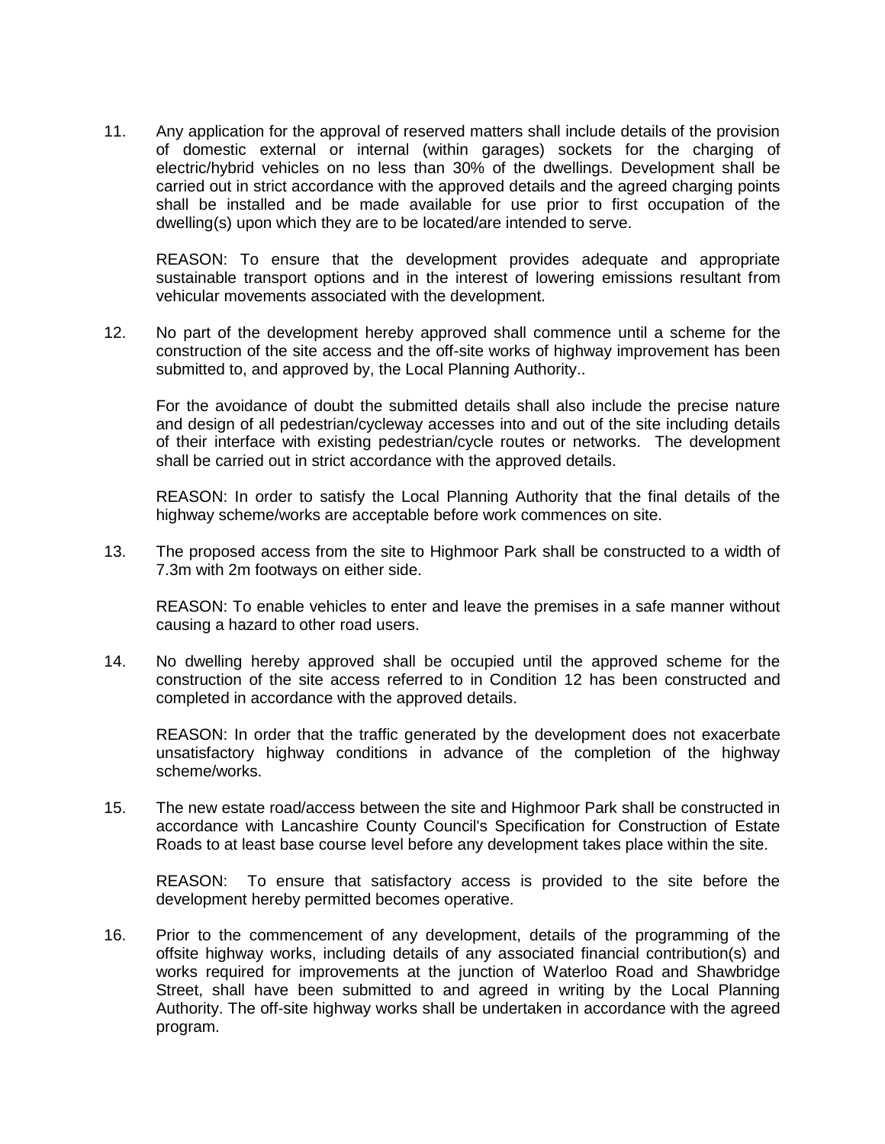11. Any application for the approval of reserved matters shall include details of the provision of domestic external or internal (within garages) sockets for the charging of electric/hybrid vehicles on no less than 30% of the dwellings. Development shall be carried out in strict accordance with the approved details and the agreed charging points shall be installed and be made available for use prior to first occupation of the dwelling(s) upon which they are to be located/are intended to serve.

REASON: To ensure that the development provides adequate and appropriate sustainable transport options and in the interest of lowering emissions resultant from vehicular movements associated with the development.

12. No part of the development hereby approved shall commence until a scheme for the construction of the site access and the off-site works of highway improvement has been submitted to, and approved by, the Local Planning Authority..

For the avoidance of doubt the submitted details shall also include the precise nature and design of all pedestrian/cycleway accesses into and out of the site including details of their interface with existing pedestrian/cycle routes or networks. The development shall be carried out in strict accordance with the approved details.

REASON: In order to satisfy the Local Planning Authority that the final details of the highway scheme/works are acceptable before work commences on site.

13. The proposed access from the site to Highmoor Park shall be constructed to a width of 7.3m with 2m footways on either side.

REASON: To enable vehicles to enter and leave the premises in a safe manner without causing a hazard to other road users.

14. No dwelling hereby approved shall be occupied until the approved scheme for the construction of the site access referred to in Condition 12 has been constructed and completed in accordance with the approved details.

REASON: In order that the traffic generated by the development does not exacerbate unsatisfactory highway conditions in advance of the completion of the highway scheme/works.

15. The new estate road/access between the site and Highmoor Park shall be constructed in accordance with Lancashire County Council's Specification for Construction of Estate Roads to at least base course level before any development takes place within the site.

REASON: To ensure that satisfactory access is provided to the site before the development hereby permitted becomes operative.

16. Prior to the commencement of any development, details of the programming of the offsite highway works, including details of any associated financial contribution(s) and works required for improvements at the junction of Waterloo Road and Shawbridge Street, shall have been submitted to and agreed in writing by the Local Planning Authority. The off-site highway works shall be undertaken in accordance with the agreed program.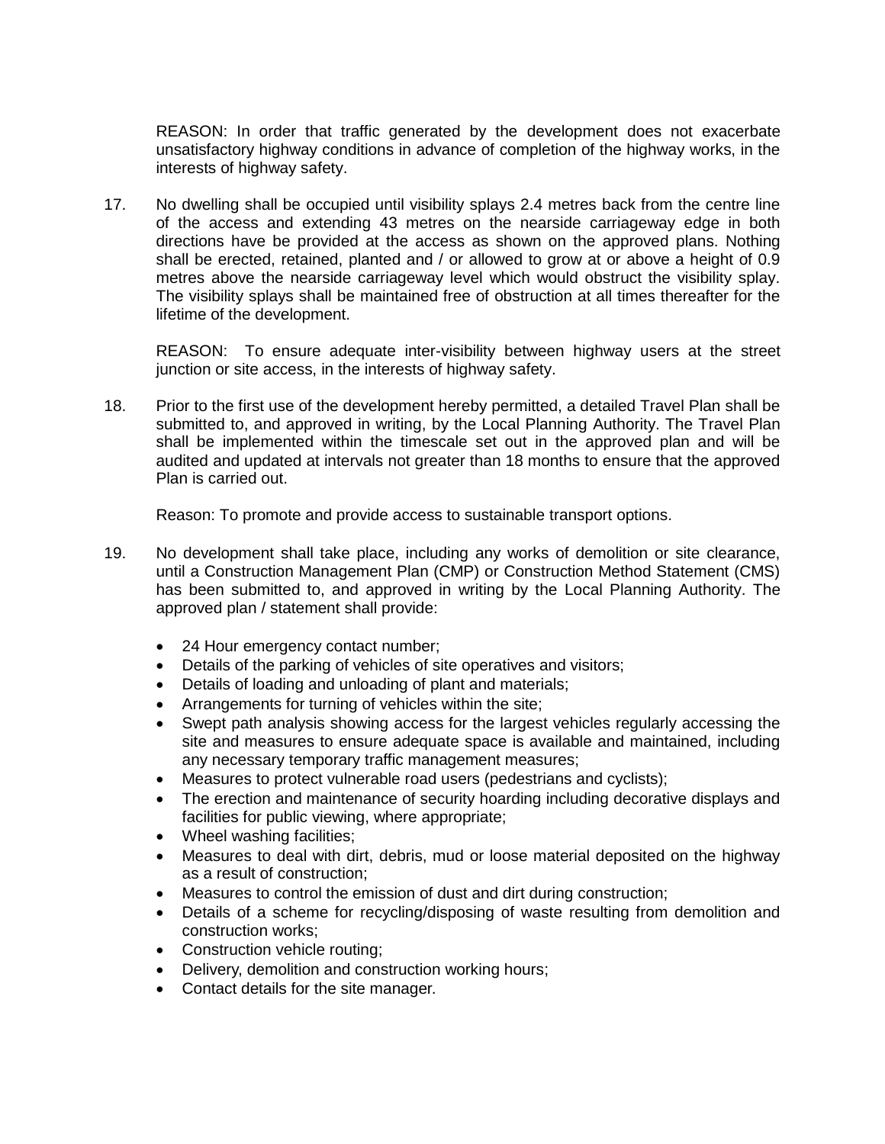REASON: In order that traffic generated by the development does not exacerbate unsatisfactory highway conditions in advance of completion of the highway works, in the interests of highway safety.

17. No dwelling shall be occupied until visibility splays 2.4 metres back from the centre line of the access and extending 43 metres on the nearside carriageway edge in both directions have be provided at the access as shown on the approved plans. Nothing shall be erected, retained, planted and / or allowed to grow at or above a height of 0.9 metres above the nearside carriageway level which would obstruct the visibility splay. The visibility splays shall be maintained free of obstruction at all times thereafter for the lifetime of the development.

REASON: To ensure adequate inter-visibility between highway users at the street junction or site access, in the interests of highway safety.

18. Prior to the first use of the development hereby permitted, a detailed Travel Plan shall be submitted to, and approved in writing, by the Local Planning Authority. The Travel Plan shall be implemented within the timescale set out in the approved plan and will be audited and updated at intervals not greater than 18 months to ensure that the approved Plan is carried out.

Reason: To promote and provide access to sustainable transport options.

- 19. No development shall take place, including any works of demolition or site clearance, until a Construction Management Plan (CMP) or Construction Method Statement (CMS) has been submitted to, and approved in writing by the Local Planning Authority. The approved plan / statement shall provide:
	- 24 Hour emergency contact number;
	- Details of the parking of vehicles of site operatives and visitors;
	- Details of loading and unloading of plant and materials;
	- Arrangements for turning of vehicles within the site;
	- Swept path analysis showing access for the largest vehicles regularly accessing the site and measures to ensure adequate space is available and maintained, including any necessary temporary traffic management measures;
	- Measures to protect vulnerable road users (pedestrians and cyclists);
	- The erection and maintenance of security hoarding including decorative displays and facilities for public viewing, where appropriate;
	- Wheel washing facilities;
	- Measures to deal with dirt, debris, mud or loose material deposited on the highway as a result of construction;
	- Measures to control the emission of dust and dirt during construction;
	- Details of a scheme for recycling/disposing of waste resulting from demolition and construction works;
	- Construction vehicle routing;
	- Delivery, demolition and construction working hours;
	- Contact details for the site manager.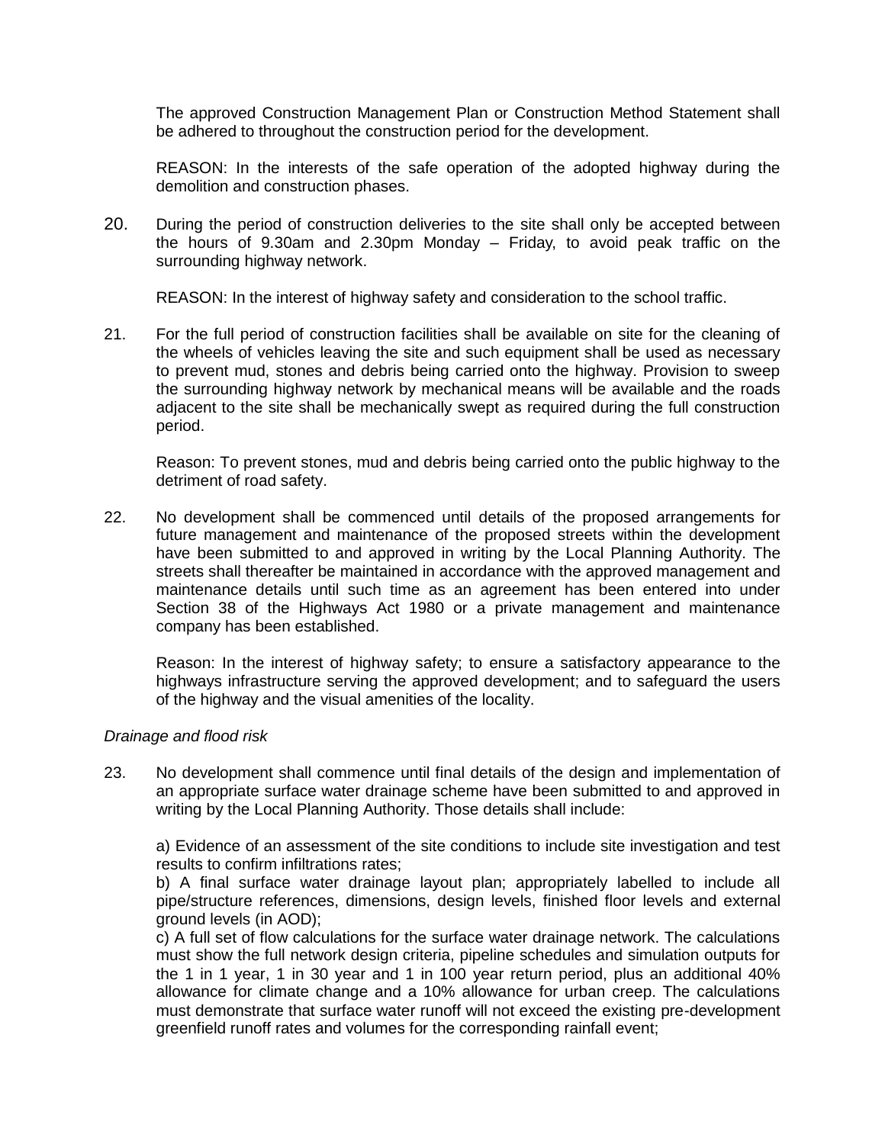The approved Construction Management Plan or Construction Method Statement shall be adhered to throughout the construction period for the development.

REASON: In the interests of the safe operation of the adopted highway during the demolition and construction phases.

20. During the period of construction deliveries to the site shall only be accepted between the hours of 9.30am and 2.30pm Monday – Friday, to avoid peak traffic on the surrounding highway network.

REASON: In the interest of highway safety and consideration to the school traffic.

21. For the full period of construction facilities shall be available on site for the cleaning of the wheels of vehicles leaving the site and such equipment shall be used as necessary to prevent mud, stones and debris being carried onto the highway. Provision to sweep the surrounding highway network by mechanical means will be available and the roads adjacent to the site shall be mechanically swept as required during the full construction period.

Reason: To prevent stones, mud and debris being carried onto the public highway to the detriment of road safety.

22. No development shall be commenced until details of the proposed arrangements for future management and maintenance of the proposed streets within the development have been submitted to and approved in writing by the Local Planning Authority. The streets shall thereafter be maintained in accordance with the approved management and maintenance details until such time as an agreement has been entered into under Section 38 of the Highways Act 1980 or a private management and maintenance company has been established.

Reason: In the interest of highway safety; to ensure a satisfactory appearance to the highways infrastructure serving the approved development; and to safeguard the users of the highway and the visual amenities of the locality.

#### *Drainage and flood risk*

23. No development shall commence until final details of the design and implementation of an appropriate surface water drainage scheme have been submitted to and approved in writing by the Local Planning Authority. Those details shall include:

a) Evidence of an assessment of the site conditions to include site investigation and test results to confirm infiltrations rates;

b) A final surface water drainage layout plan; appropriately labelled to include all pipe/structure references, dimensions, design levels, finished floor levels and external ground levels (in AOD);

c) A full set of flow calculations for the surface water drainage network. The calculations must show the full network design criteria, pipeline schedules and simulation outputs for the 1 in 1 year, 1 in 30 year and 1 in 100 year return period, plus an additional 40% allowance for climate change and a 10% allowance for urban creep. The calculations must demonstrate that surface water runoff will not exceed the existing pre-development greenfield runoff rates and volumes for the corresponding rainfall event;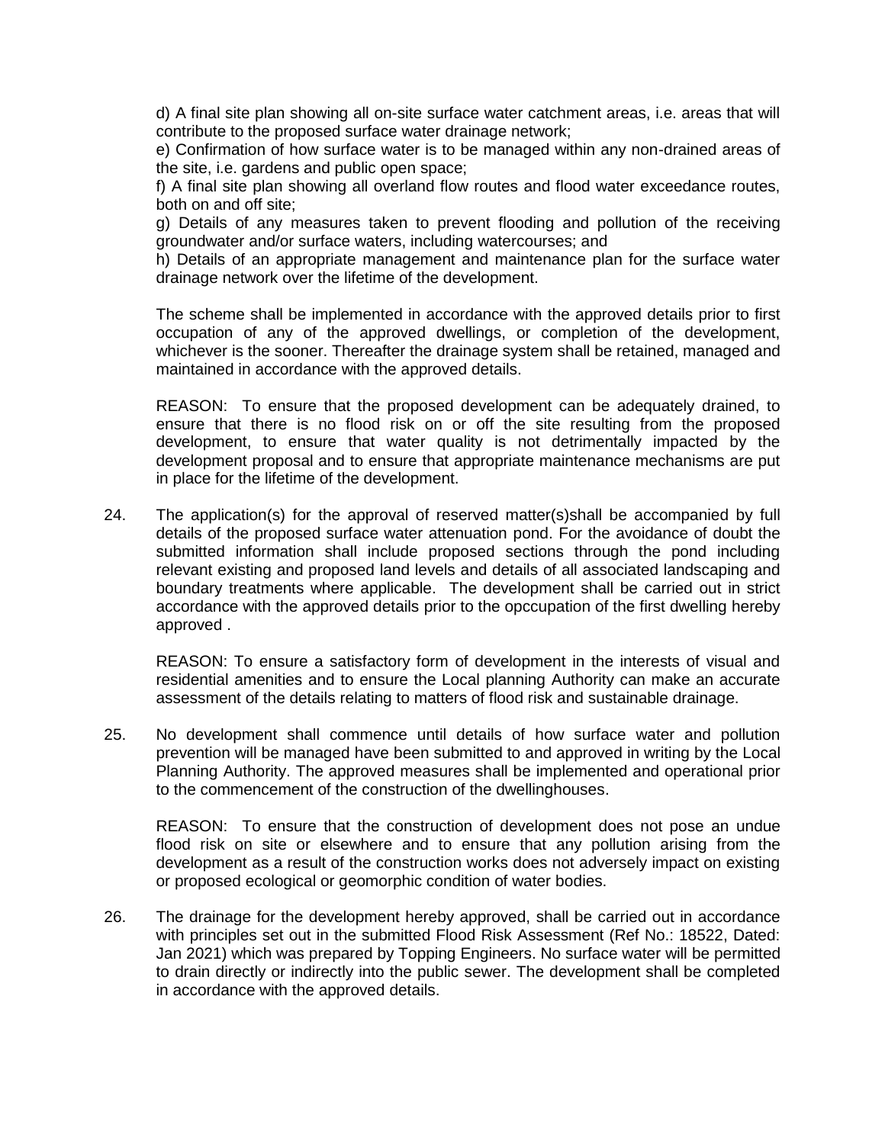d) A final site plan showing all on-site surface water catchment areas, i.e. areas that will contribute to the proposed surface water drainage network;

e) Confirmation of how surface water is to be managed within any non-drained areas of the site, i.e. gardens and public open space;

f) A final site plan showing all overland flow routes and flood water exceedance routes, both on and off site;

g) Details of any measures taken to prevent flooding and pollution of the receiving groundwater and/or surface waters, including watercourses; and

h) Details of an appropriate management and maintenance plan for the surface water drainage network over the lifetime of the development.

The scheme shall be implemented in accordance with the approved details prior to first occupation of any of the approved dwellings, or completion of the development, whichever is the sooner. Thereafter the drainage system shall be retained, managed and maintained in accordance with the approved details.

REASON: To ensure that the proposed development can be adequately drained, to ensure that there is no flood risk on or off the site resulting from the proposed development, to ensure that water quality is not detrimentally impacted by the development proposal and to ensure that appropriate maintenance mechanisms are put in place for the lifetime of the development.

24. The application(s) for the approval of reserved matter(s)shall be accompanied by full details of the proposed surface water attenuation pond. For the avoidance of doubt the submitted information shall include proposed sections through the pond including relevant existing and proposed land levels and details of all associated landscaping and boundary treatments where applicable. The development shall be carried out in strict accordance with the approved details prior to the opccupation of the first dwelling hereby approved .

REASON: To ensure a satisfactory form of development in the interests of visual and residential amenities and to ensure the Local planning Authority can make an accurate assessment of the details relating to matters of flood risk and sustainable drainage.

25. No development shall commence until details of how surface water and pollution prevention will be managed have been submitted to and approved in writing by the Local Planning Authority. The approved measures shall be implemented and operational prior to the commencement of the construction of the dwellinghouses.

REASON: To ensure that the construction of development does not pose an undue flood risk on site or elsewhere and to ensure that any pollution arising from the development as a result of the construction works does not adversely impact on existing or proposed ecological or geomorphic condition of water bodies.

26. The drainage for the development hereby approved, shall be carried out in accordance with principles set out in the submitted Flood Risk Assessment (Ref No.: 18522, Dated: Jan 2021) which was prepared by Topping Engineers. No surface water will be permitted to drain directly or indirectly into the public sewer. The development shall be completed in accordance with the approved details.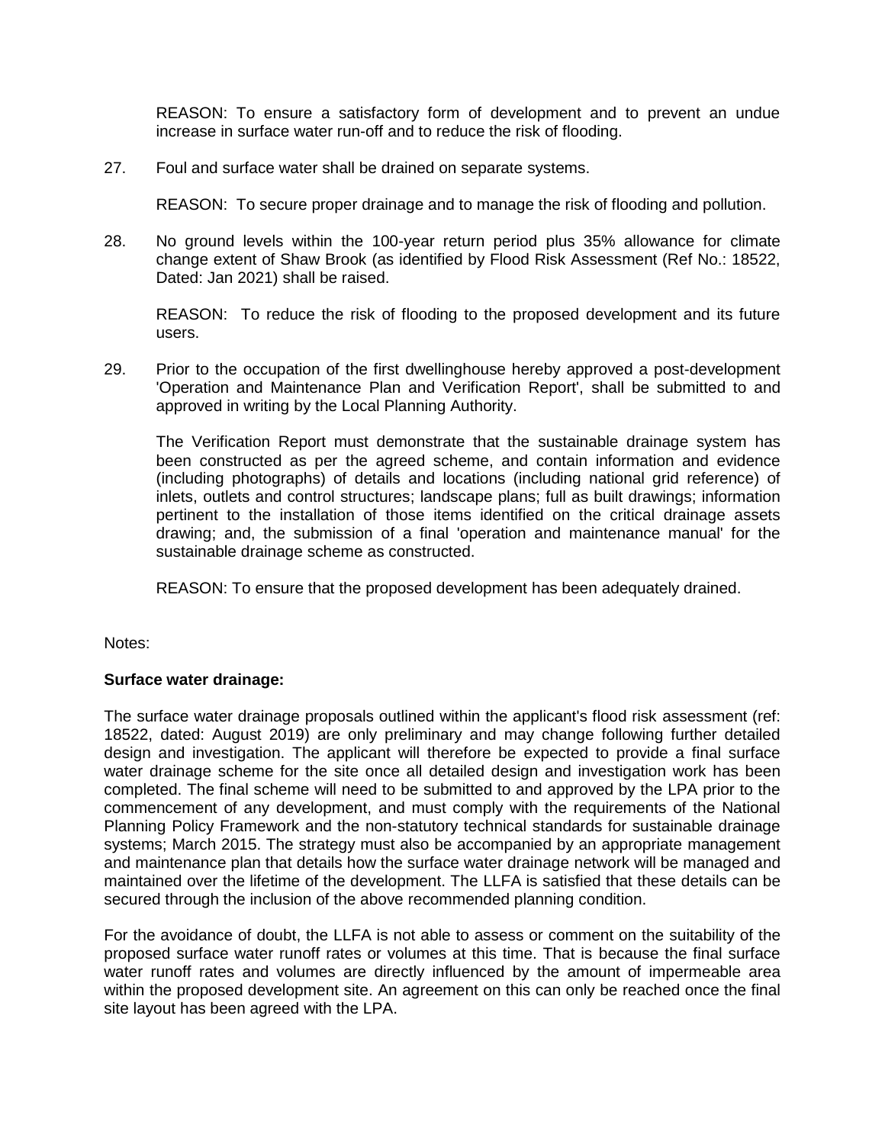REASON: To ensure a satisfactory form of development and to prevent an undue increase in surface water run-off and to reduce the risk of flooding.

27. Foul and surface water shall be drained on separate systems.

REASON: To secure proper drainage and to manage the risk of flooding and pollution.

28. No ground levels within the 100-year return period plus 35% allowance for climate change extent of Shaw Brook (as identified by Flood Risk Assessment (Ref No.: 18522, Dated: Jan 2021) shall be raised.

REASON: To reduce the risk of flooding to the proposed development and its future users.

29. Prior to the occupation of the first dwellinghouse hereby approved a post-development 'Operation and Maintenance Plan and Verification Report', shall be submitted to and approved in writing by the Local Planning Authority.

The Verification Report must demonstrate that the sustainable drainage system has been constructed as per the agreed scheme, and contain information and evidence (including photographs) of details and locations (including national grid reference) of inlets, outlets and control structures; landscape plans; full as built drawings; information pertinent to the installation of those items identified on the critical drainage assets drawing; and, the submission of a final 'operation and maintenance manual' for the sustainable drainage scheme as constructed.

REASON: To ensure that the proposed development has been adequately drained.

Notes:

#### **Surface water drainage:**

The surface water drainage proposals outlined within the applicant's flood risk assessment (ref: 18522, dated: August 2019) are only preliminary and may change following further detailed design and investigation. The applicant will therefore be expected to provide a final surface water drainage scheme for the site once all detailed design and investigation work has been completed. The final scheme will need to be submitted to and approved by the LPA prior to the commencement of any development, and must comply with the requirements of the National Planning Policy Framework and the non-statutory technical standards for sustainable drainage systems; March 2015. The strategy must also be accompanied by an appropriate management and maintenance plan that details how the surface water drainage network will be managed and maintained over the lifetime of the development. The LLFA is satisfied that these details can be secured through the inclusion of the above recommended planning condition.

For the avoidance of doubt, the LLFA is not able to assess or comment on the suitability of the proposed surface water runoff rates or volumes at this time. That is because the final surface water runoff rates and volumes are directly influenced by the amount of impermeable area within the proposed development site. An agreement on this can only be reached once the final site layout has been agreed with the LPA.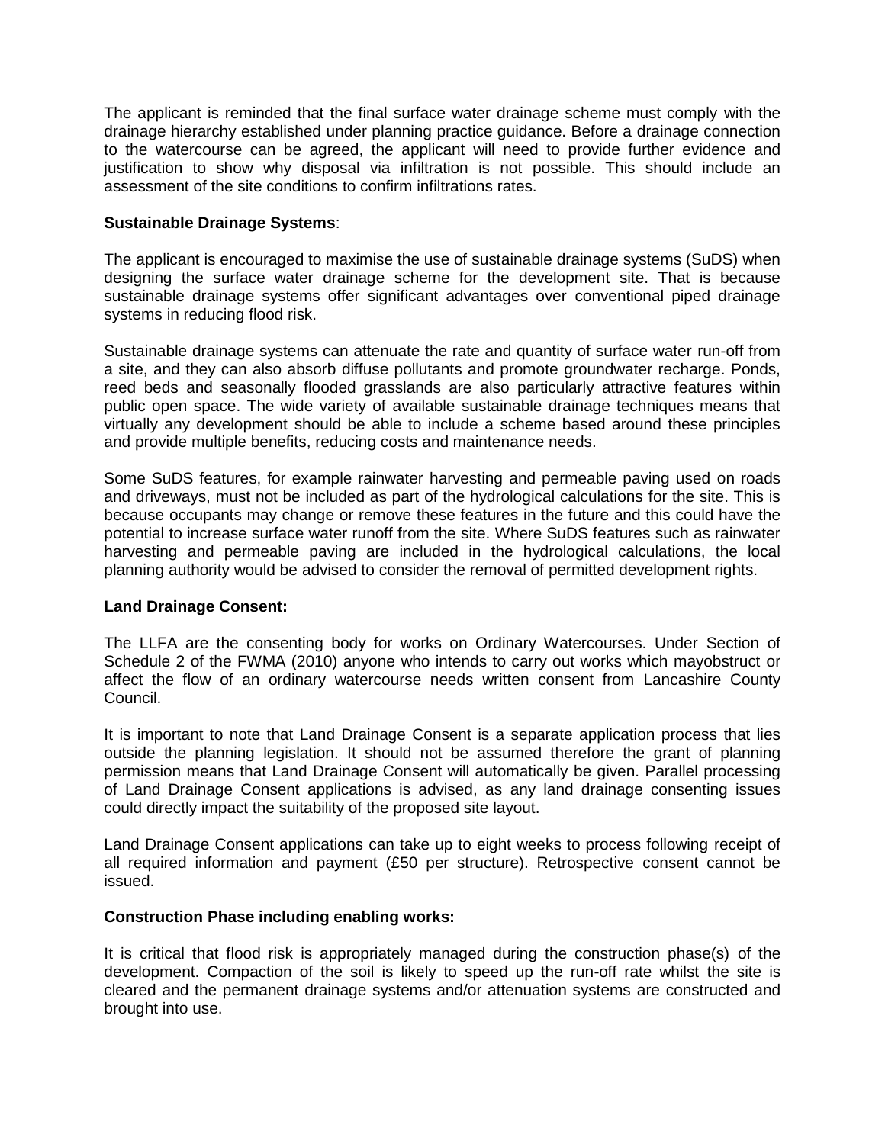The applicant is reminded that the final surface water drainage scheme must comply with the drainage hierarchy established under planning practice guidance. Before a drainage connection to the watercourse can be agreed, the applicant will need to provide further evidence and justification to show why disposal via infiltration is not possible. This should include an assessment of the site conditions to confirm infiltrations rates.

### **Sustainable Drainage Systems**:

The applicant is encouraged to maximise the use of sustainable drainage systems (SuDS) when designing the surface water drainage scheme for the development site. That is because sustainable drainage systems offer significant advantages over conventional piped drainage systems in reducing flood risk.

Sustainable drainage systems can attenuate the rate and quantity of surface water run-off from a site, and they can also absorb diffuse pollutants and promote groundwater recharge. Ponds, reed beds and seasonally flooded grasslands are also particularly attractive features within public open space. The wide variety of available sustainable drainage techniques means that virtually any development should be able to include a scheme based around these principles and provide multiple benefits, reducing costs and maintenance needs.

Some SuDS features, for example rainwater harvesting and permeable paving used on roads and driveways, must not be included as part of the hydrological calculations for the site. This is because occupants may change or remove these features in the future and this could have the potential to increase surface water runoff from the site. Where SuDS features such as rainwater harvesting and permeable paving are included in the hydrological calculations, the local planning authority would be advised to consider the removal of permitted development rights.

## **Land Drainage Consent:**

The LLFA are the consenting body for works on Ordinary Watercourses. Under Section of Schedule 2 of the FWMA (2010) anyone who intends to carry out works which mayobstruct or affect the flow of an ordinary watercourse needs written consent from Lancashire County Council.

It is important to note that Land Drainage Consent is a separate application process that lies outside the planning legislation. It should not be assumed therefore the grant of planning permission means that Land Drainage Consent will automatically be given. Parallel processing of Land Drainage Consent applications is advised, as any land drainage consenting issues could directly impact the suitability of the proposed site layout.

Land Drainage Consent applications can take up to eight weeks to process following receipt of all required information and payment (£50 per structure). Retrospective consent cannot be issued.

#### **Construction Phase including enabling works:**

It is critical that flood risk is appropriately managed during the construction phase(s) of the development. Compaction of the soil is likely to speed up the run-off rate whilst the site is cleared and the permanent drainage systems and/or attenuation systems are constructed and brought into use.